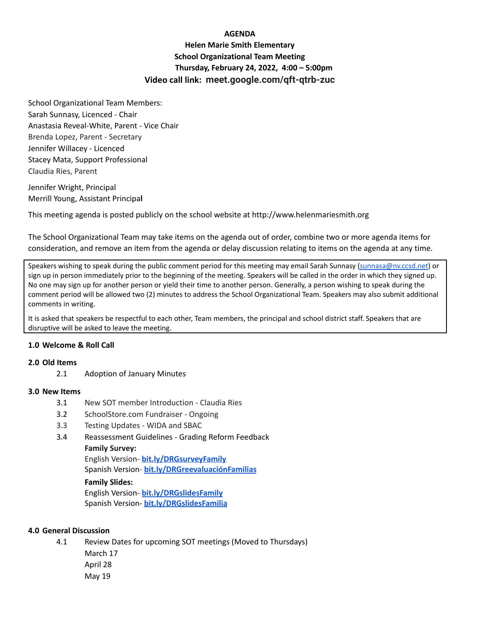# **AGENDA**

**Helen Marie Smith Elementary School Organizational Team Meeting Thursday, February 24, 2022, 4:00 – 5:00pm Video call link: meet.google.com/qft-qtrb-zuc**

School Organizational Team Members: Sarah Sunnasy, Licenced - Chair Anastasia Reveal-White, Parent - Vice Chair Brenda Lopez, Parent - Secretary Jennifer Willacey - Licenced Stacey Mata, Support Professional Claudia Ries, Parent

Jennifer Wright, Principal Merrill Young, Assistant Principa**l**

This meeting agenda is posted publicly on the school website at http://www.helenmariesmith.org

The School Organizational Team may take items on the agenda out of order, combine two or more agenda items for consideration, and remove an item from the agenda or delay discussion relating to items on the agenda at any time.

Speakers wishing to speak during the public comment period for this meeting may email Sarah Sunnasy [\(sunnasa@nv.ccsd.net](mailto:sunnasa@nv.ccsd.net)) or sign up in person immediately prior to the beginning of the meeting. Speakers will be called in the order in which they signed up. No one may sign up for another person or yield their time to another person. Generally, a person wishing to speak during the comment period will be allowed two (2) minutes to address the School Organizational Team. Speakers may also submit additional comments in writing.

It is asked that speakers be respectful to each other, Team members, the principal and school district staff. Speakers that are disruptive will be asked to leave the meeting.

## **1.0 Welcome & Roll Call**

#### **2.0 Old Items**

2.1 Adoption of January Minutes

## **3.0 New Items**

- 3.1 New SOT member Introduction Claudia Ries
- 3.2 SchoolStore.com Fundraiser Ongoing
- 3.3 Testing Updates WIDA and SBAC
- 3.4 Reassessment Guidelines Grading Reform Feedback
	- **Family Survey:**

English Version- **[bit.ly/DRGsurveyFamily](https://bit.ly/DRGsurveyFamily)** Spanish Version- **[bit.ly/DRGreevaluaciónFamilias](https://bit.ly/DRGreevaluaci%C3%B3nFamilias)**

#### **Family Slides:**

English Version- **[bit.ly/DRGslidesFamily](http://bit.ly/DRGslidesFamily)** Spanish Version- **[bit.ly/DRGslidesFamilia](http://bit.ly/DRGslidesFamilia)**

# **4.0 General Discussion**

4.1 Review Dates for upcoming SOT meetings (Moved to Thursdays)

March 17 April 28 May 19